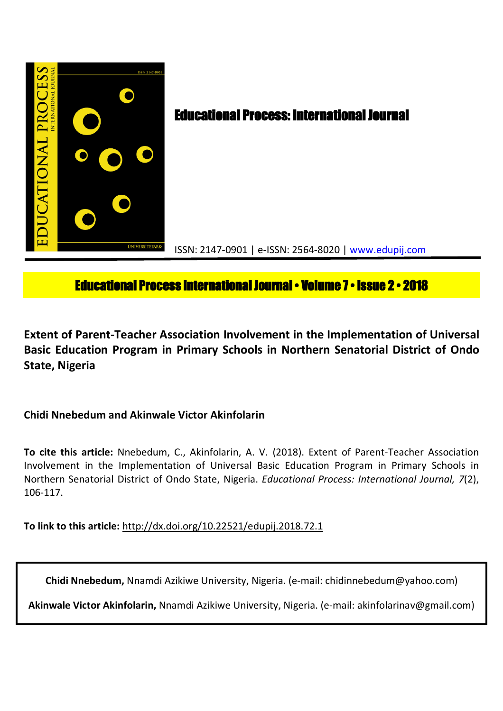

# **Educational Process International Journal • Volume 7 • Issue 2 • 2018**

**Extent of Parent-Teacher Association Involvement in the Implementation of Universal Basic Education Program in Primary Schools in Northern Senatorial District of Ondo State, Nigeria**

**Chidi Nnebedum and Akinwale Victor Akinfolarin**

**To cite this article:** Nnebedum, C., Akinfolarin, A. V. (2018). Extent of Parent-Teacher Association Involvement in the Implementation of Universal Basic Education Program in Primary Schools in Northern Senatorial District of Ondo State, Nigeria. *Educational Process: International Journal, 7*(2), 106-117.

**To link to this article:** http://dx.doi.org/10.22521/edupij.2018.72.1

**Chidi Nnebedum,** Nnamdi Azikiwe University, Nigeria. (e-mail: chidinnebedum@yahoo.com)

**Akinwale Victor Akinfolarin,** Nnamdi Azikiwe University, Nigeria. (e-mail: akinfolarinav@gmail.com)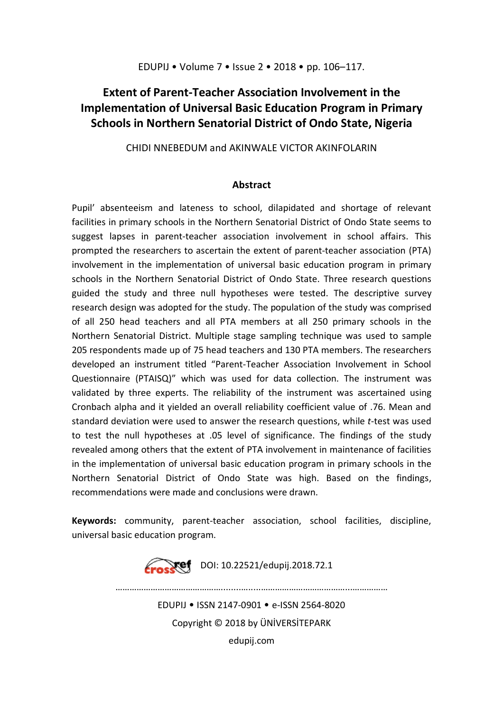# **Extent of Parent-Teacher Association Involvement in the Implementation of Universal Basic Education Program in Primary Schools in Northern Senatorial District of Ondo State, Nigeria**

CHIDI NNEBEDUM and AKINWALE VICTOR AKINFOLARIN

## **Abstract**

Pupil' absenteeism and lateness to school, dilapidated and shortage of relevant facilities in primary schools in the Northern Senatorial District of Ondo State seems to suggest lapses in parent-teacher association involvement in school affairs. This prompted the researchers to ascertain the extent of parent-teacher association (PTA) involvement in the implementation of universal basic education program in primary schools in the Northern Senatorial District of Ondo State. Three research questions guided the study and three null hypotheses were tested. The descriptive survey research design was adopted for the study. The population of the study was comprised of all 250 head teachers and all PTA members at all 250 primary schools in the Northern Senatorial District. Multiple stage sampling technique was used to sample 205 respondents made up of 75 head teachers and 130 PTA members. The researchers developed an instrument titled "Parent-Teacher Association Involvement in School Questionnaire (PTAISQ)" which was used for data collection. The instrument was validated by three experts. The reliability of the instrument was ascertained using Cronbach alpha and it yielded an overall reliability coefficient value of .76. Mean and standard deviation were used to answer the research questions, while *t*-test was used to test the null hypotheses at .05 level of significance. The findings of the study revealed among others that the extent of PTA involvement in maintenance of facilities in the implementation of universal basic education program in primary schools in the Northern Senatorial District of Ondo State was high. Based on the findings, recommendations were made and conclusions were drawn.

**Keywords:** community, parent-teacher association, school facilities, discipline, universal basic education program.

**Example:** DOI: 10.22521/edupij.2018.72.1

EDUPIJ • ISSN 2147-0901 • e-ISSN 2564-8020 Copyright © 2018 by ÜNİVERSİTEPARK

………………………………………........….....………………………………...……………

edupij.com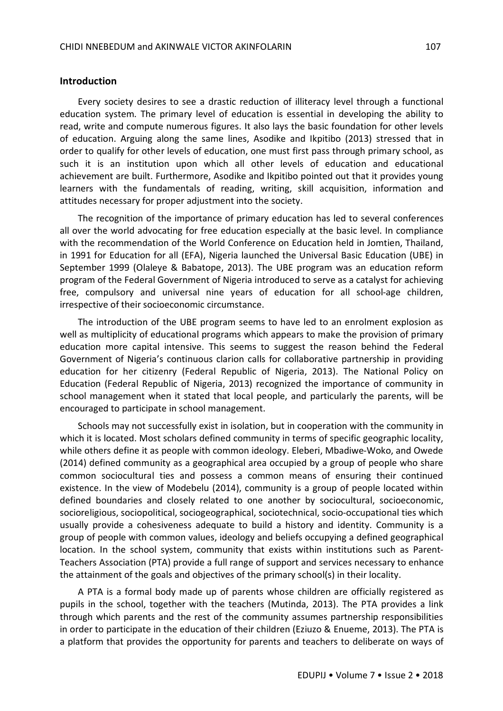#### **Introduction**

Every society desires to see a drastic reduction of illiteracy level through a functional education system. The primary level of education is essential in developing the ability to read, write and compute numerous figures. It also lays the basic foundation for other levels of education. Arguing along the same lines, Asodike and Ikpitibo (2013) stressed that in order to qualify for other levels of education, one must first pass through primary school, as such it is an institution upon which all other levels of education and educational achievement are built. Furthermore, Asodike and Ikpitibo pointed out that it provides young learners with the fundamentals of reading, writing, skill acquisition, information and attitudes necessary for proper adjustment into the society.

The recognition of the importance of primary education has led to several conferences all over the world advocating for free education especially at the basic level. In compliance with the recommendation of the World Conference on Education held in Jomtien, Thailand, in 1991 for Education for all (EFA), Nigeria launched the Universal Basic Education (UBE) in September 1999 (Olaleye & Babatope, 2013). The UBE program was an education reform program of the Federal Government of Nigeria introduced to serve as a catalyst for achieving free, compulsory and universal nine years of education for all school-age children, irrespective of their socioeconomic circumstance.

The introduction of the UBE program seems to have led to an enrolment explosion as well as multiplicity of educational programs which appears to make the provision of primary education more capital intensive. This seems to suggest the reason behind the Federal Government of Nigeria's continuous clarion calls for collaborative partnership in providing education for her citizenry (Federal Republic of Nigeria, 2013). The National Policy on Education (Federal Republic of Nigeria, 2013) recognized the importance of community in school management when it stated that local people, and particularly the parents, will be encouraged to participate in school management.

Schools may not successfully exist in isolation, but in cooperation with the community in which it is located. Most scholars defined community in terms of specific geographic locality, while others define it as people with common ideology. Eleberi, Mbadiwe-Woko, and Owede (2014) defined community as a geographical area occupied by a group of people who share common sociocultural ties and possess a common means of ensuring their continued existence. In the view of Modebelu (2014), community is a group of people located within defined boundaries and closely related to one another by sociocultural, socioeconomic, socioreligious, sociopolitical, sociogeographical, sociotechnical, socio-occupational ties which usually provide a cohesiveness adequate to build a history and identity. Community is a group of people with common values, ideology and beliefs occupying a defined geographical location. In the school system, community that exists within institutions such as Parent-Teachers Association (PTA) provide a full range of support and services necessary to enhance the attainment of the goals and objectives of the primary school(s) in their locality.

A PTA is a formal body made up of parents whose children are officially registered as pupils in the school, together with the teachers (Mutinda, 2013). The PTA provides a link through which parents and the rest of the community assumes partnership responsibilities in order to participate in the education of their children (Eziuzo & Enueme, 2013). The PTA is a platform that provides the opportunity for parents and teachers to deliberate on ways of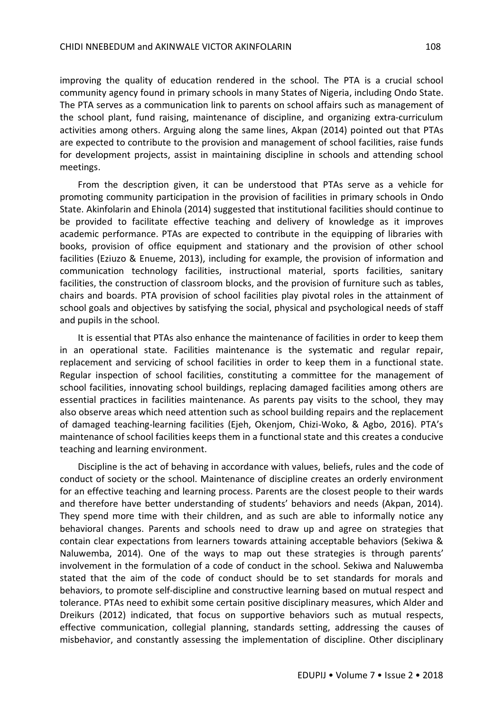improving the quality of education rendered in the school. The PTA is a crucial school community agency found in primary schools in many States of Nigeria, including Ondo State. The PTA serves as a communication link to parents on school affairs such as management of the school plant, fund raising, maintenance of discipline, and organizing extra-curriculum activities among others. Arguing along the same lines, Akpan (2014) pointed out that PTAs are expected to contribute to the provision and management of school facilities, raise funds for development projects, assist in maintaining discipline in schools and attending school meetings.

From the description given, it can be understood that PTAs serve as a vehicle for promoting community participation in the provision of facilities in primary schools in Ondo State. Akinfolarin and Ehinola (2014) suggested that institutional facilities should continue to be provided to facilitate effective teaching and delivery of knowledge as it improves academic performance. PTAs are expected to contribute in the equipping of libraries with books, provision of office equipment and stationary and the provision of other school facilities (Eziuzo & Enueme, 2013), including for example, the provision of information and communication technology facilities, instructional material, sports facilities, sanitary facilities, the construction of classroom blocks, and the provision of furniture such as tables, chairs and boards. PTA provision of school facilities play pivotal roles in the attainment of school goals and objectives by satisfying the social, physical and psychological needs of staff and pupils in the school.

It is essential that PTAs also enhance the maintenance of facilities in order to keep them in an operational state. Facilities maintenance is the systematic and regular repair, replacement and servicing of school facilities in order to keep them in a functional state. Regular inspection of school facilities, constituting a committee for the management of school facilities, innovating school buildings, replacing damaged facilities among others are essential practices in facilities maintenance. As parents pay visits to the school, they may also observe areas which need attention such as school building repairs and the replacement of damaged teaching-learning facilities (Ejeh, Okenjom, Chizi-Woko, & Agbo, 2016). PTA's maintenance of school facilities keeps them in a functional state and this creates a conducive teaching and learning environment.

Discipline is the act of behaving in accordance with values, beliefs, rules and the code of conduct of society or the school. Maintenance of discipline creates an orderly environment for an effective teaching and learning process. Parents are the closest people to their wards and therefore have better understanding of students' behaviors and needs (Akpan, 2014). They spend more time with their children, and as such are able to informally notice any behavioral changes. Parents and schools need to draw up and agree on strategies that contain clear expectations from learners towards attaining acceptable behaviors (Sekiwa & Naluwemba, 2014). One of the ways to map out these strategies is through parents' involvement in the formulation of a code of conduct in the school. Sekiwa and Naluwemba stated that the aim of the code of conduct should be to set standards for morals and behaviors, to promote self-discipline and constructive learning based on mutual respect and tolerance. PTAs need to exhibit some certain positive disciplinary measures, which Alder and Dreikurs (2012) indicated, that focus on supportive behaviors such as mutual respects, effective communication, collegial planning, standards setting, addressing the causes of misbehavior, and constantly assessing the implementation of discipline. Other disciplinary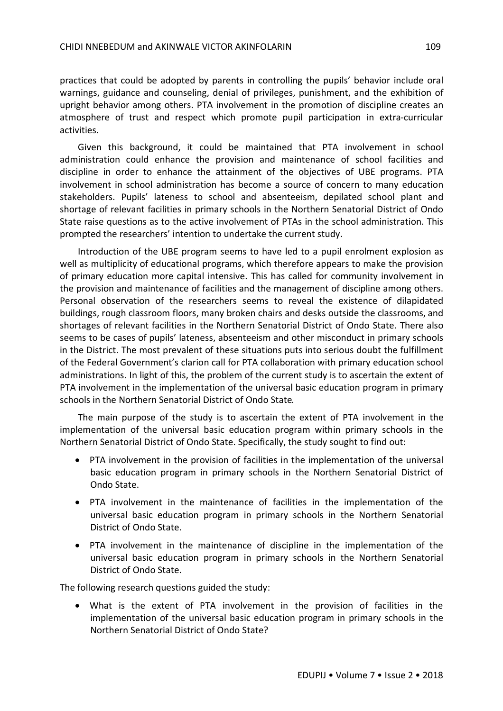practices that could be adopted by parents in controlling the pupils' behavior include oral warnings, guidance and counseling, denial of privileges, punishment, and the exhibition of upright behavior among others. PTA involvement in the promotion of discipline creates an atmosphere of trust and respect which promote pupil participation in extra-curricular activities.

Given this background, it could be maintained that PTA involvement in school administration could enhance the provision and maintenance of school facilities and discipline in order to enhance the attainment of the objectives of UBE programs. PTA involvement in school administration has become a source of concern to many education stakeholders. Pupils' lateness to school and absenteeism, depilated school plant and shortage of relevant facilities in primary schools in the Northern Senatorial District of Ondo State raise questions as to the active involvement of PTAs in the school administration. This prompted the researchers' intention to undertake the current study.

Introduction of the UBE program seems to have led to a pupil enrolment explosion as well as multiplicity of educational programs, which therefore appears to make the provision of primary education more capital intensive. This has called for community involvement in the provision and maintenance of facilities and the management of discipline among others. Personal observation of the researchers seems to reveal the existence of dilapidated buildings, rough classroom floors, many broken chairs and desks outside the classrooms, and shortages of relevant facilities in the Northern Senatorial District of Ondo State. There also seems to be cases of pupils' lateness, absenteeism and other misconduct in primary schools in the District. The most prevalent of these situations puts into serious doubt the fulfillment of the Federal Government's clarion call for PTA collaboration with primary education school administrations. In light of this, the problem of the current study is to ascertain the extent of PTA involvement in the implementation of the universal basic education program in primary schools in the Northern Senatorial District of Ondo State*.*

The main purpose of the study is to ascertain the extent of PTA involvement in the implementation of the universal basic education program within primary schools in the Northern Senatorial District of Ondo State. Specifically, the study sought to find out:

- PTA involvement in the provision of facilities in the implementation of the universal basic education program in primary schools in the Northern Senatorial District of Ondo State.
- PTA involvement in the maintenance of facilities in the implementation of the universal basic education program in primary schools in the Northern Senatorial District of Ondo State.
- PTA involvement in the maintenance of discipline in the implementation of the universal basic education program in primary schools in the Northern Senatorial District of Ondo State.

The following research questions guided the study:

 What is the extent of PTA involvement in the provision of facilities in the implementation of the universal basic education program in primary schools in the Northern Senatorial District of Ondo State?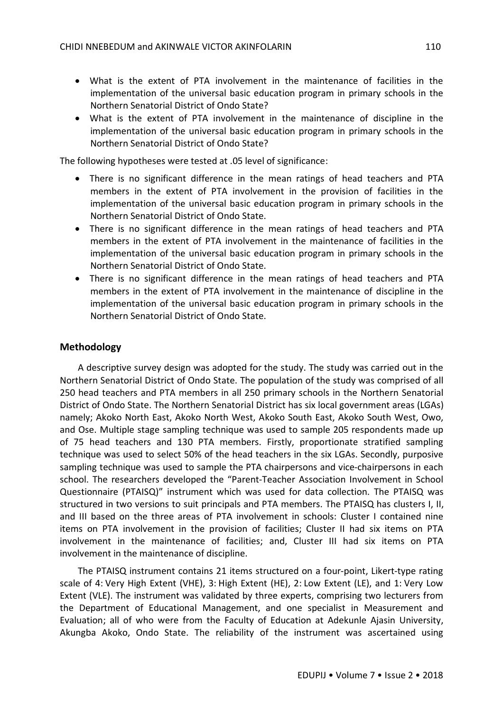- What is the extent of PTA involvement in the maintenance of facilities in the implementation of the universal basic education program in primary schools in the Northern Senatorial District of Ondo State?
- What is the extent of PTA involvement in the maintenance of discipline in the implementation of the universal basic education program in primary schools in the Northern Senatorial District of Ondo State?

The following hypotheses were tested at .05 level of significance:

- There is no significant difference in the mean ratings of head teachers and PTA members in the extent of PTA involvement in the provision of facilities in the implementation of the universal basic education program in primary schools in the Northern Senatorial District of Ondo State.
- There is no significant difference in the mean ratings of head teachers and PTA members in the extent of PTA involvement in the maintenance of facilities in the implementation of the universal basic education program in primary schools in the Northern Senatorial District of Ondo State.
- There is no significant difference in the mean ratings of head teachers and PTA members in the extent of PTA involvement in the maintenance of discipline in the implementation of the universal basic education program in primary schools in the Northern Senatorial District of Ondo State.

# **Methodology**

A descriptive survey design was adopted for the study. The study was carried out in the Northern Senatorial District of Ondo State. The population of the study was comprised of all 250 head teachers and PTA members in all 250 primary schools in the Northern Senatorial District of Ondo State. The Northern Senatorial District has six local government areas (LGAs) namely; Akoko North East, Akoko North West, Akoko South East, Akoko South West, Owo, and Ose. Multiple stage sampling technique was used to sample 205 respondents made up of 75 head teachers and 130 PTA members. Firstly, proportionate stratified sampling technique was used to select 50% of the head teachers in the six LGAs. Secondly, purposive sampling technique was used to sample the PTA chairpersons and vice-chairpersons in each school. The researchers developed the "Parent-Teacher Association Involvement in School Questionnaire (PTAISQ)" instrument which was used for data collection. The PTAISQ was structured in two versions to suit principals and PTA members. The PTAISQ has clusters I, II, and III based on the three areas of PTA involvement in schools: Cluster I contained nine items on PTA involvement in the provision of facilities; Cluster II had six items on PTA involvement in the maintenance of facilities; and, Cluster III had six items on PTA involvement in the maintenance of discipline.

The PTAISQ instrument contains 21 items structured on a four-point, Likert-type rating scale of 4: Very High Extent (VHE), 3: High Extent (HE), 2: Low Extent (LE), and 1: Very Low Extent (VLE). The instrument was validated by three experts, comprising two lecturers from the Department of Educational Management, and one specialist in Measurement and Evaluation; all of who were from the Faculty of Education at Adekunle Ajasin University, Akungba Akoko, Ondo State. The reliability of the instrument was ascertained using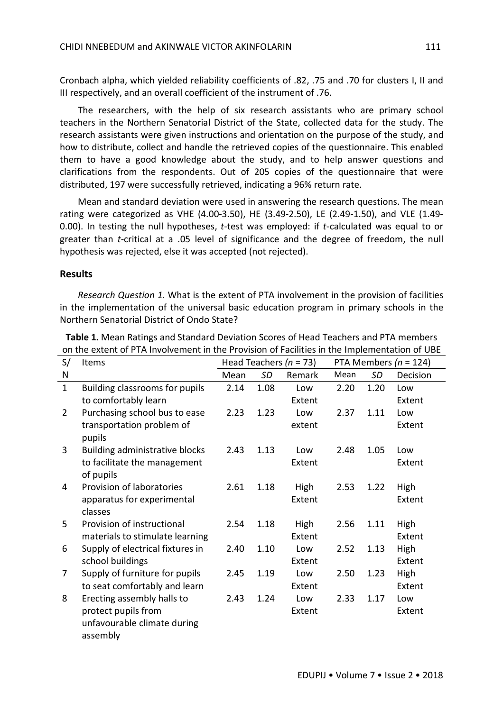Cronbach alpha, which yielded reliability coefficients of .82, .75 and .70 for clusters I, II and III respectively, and an overall coefficient of the instrument of .76.

The researchers, with the help of six research assistants who are primary school teachers in the Northern Senatorial District of the State, collected data for the study. The research assistants were given instructions and orientation on the purpose of the study, and how to distribute, collect and handle the retrieved copies of the questionnaire. This enabled them to have a good knowledge about the study, and to help answer questions and clarifications from the respondents. Out of 205 copies of the questionnaire that were distributed, 197 were successfully retrieved, indicating a 96% return rate.

Mean and standard deviation were used in answering the research questions. The mean rating were categorized as VHE (4.00-3.50), HE (3.49-2.50), LE (2.49-1.50), and VLE (1.49- 0.00). In testing the null hypotheses, *t*-test was employed: if *t*-calculated was equal to or greater than *t*-critical at a .05 level of significance and the degree of freedom, the null hypothesis was rejected, else it was accepted (not rejected).

#### **Results**

*Research Question 1.* What is the extent of PTA involvement in the provision of facilities in the implementation of the universal basic education program in primary schools in the Northern Senatorial District of Ondo State?

| S/             | Items                               |      |      | Head Teachers ( $n = 73$ ) | PTA Members ( $n = 124$ ) |      |          |
|----------------|-------------------------------------|------|------|----------------------------|---------------------------|------|----------|
| N              |                                     | Mean | SD   | Remark                     | Mean                      | SD   | Decision |
| $\mathbf{1}$   | Building classrooms for pupils      | 2.14 | 1.08 | Low                        | 2.20                      | 1.20 | Low      |
|                | to comfortably learn                |      |      | Extent                     |                           |      | Extent   |
| $\overline{2}$ | Purchasing school bus to ease       | 2.23 | 1.23 | Low                        | 2.37                      | 1.11 | Low      |
|                | transportation problem of<br>pupils |      |      | extent                     |                           |      | Extent   |
| 3              | Building administrative blocks      | 2.43 | 1.13 | Low                        | 2.48                      | 1.05 | Low      |
|                | to facilitate the management        |      |      | Extent                     |                           |      | Extent   |
|                | of pupils                           |      |      |                            |                           |      |          |
| 4              | Provision of laboratories           | 2.61 | 1.18 | High                       | 2.53                      | 1.22 | High     |
|                | apparatus for experimental          |      |      | Extent                     |                           |      | Extent   |
|                | classes                             |      |      |                            |                           |      |          |
| 5              | Provision of instructional          | 2.54 | 1.18 | High                       | 2.56                      | 1.11 | High     |
|                | materials to stimulate learning     |      |      | Extent                     |                           |      | Extent   |
| 6              | Supply of electrical fixtures in    | 2.40 | 1.10 | Low                        | 2.52                      | 1.13 | High     |
|                | school buildings                    |      |      | Extent                     |                           |      | Extent   |
| 7              | Supply of furniture for pupils      | 2.45 | 1.19 | Low                        | 2.50                      | 1.23 | High     |
|                | to seat comfortably and learn       |      |      | Extent                     |                           |      | Extent   |
| 8              | Erecting assembly halls to          | 2.43 | 1.24 | Low                        | 2.33                      | 1.17 | Low      |
|                | protect pupils from                 |      |      | Extent                     |                           |      | Extent   |
|                | unfavourable climate during         |      |      |                            |                           |      |          |
|                | assembly                            |      |      |                            |                           |      |          |

**Table 1.** Mean Ratings and Standard Deviation Scores of Head Teachers and PTA members on the extent of PTA Involvement in the Provision of Facilities in the Implementation of UBE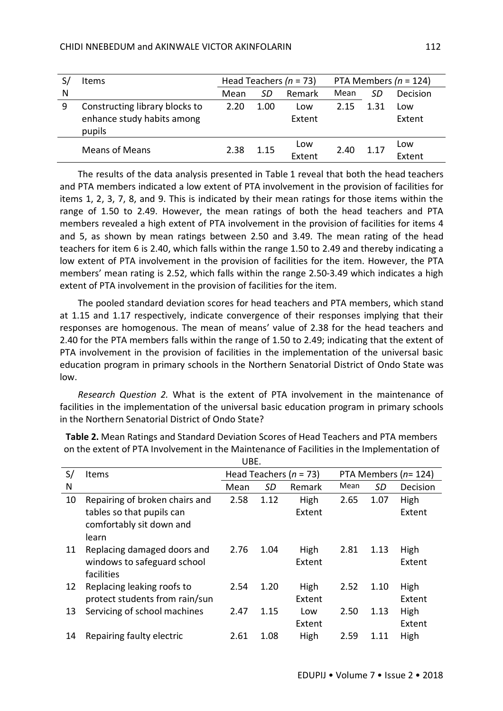|   | Items                                                                  |              |      | Head Teachers ( $n = 73$ ) | PTA Members ( $n = 124$ ) |      |               |
|---|------------------------------------------------------------------------|--------------|------|----------------------------|---------------------------|------|---------------|
| N |                                                                        | Mean         | SD   | Remark                     | Mean                      | SD   | Decision      |
| 9 | Constructing library blocks to<br>enhance study habits among<br>pupils | 1.00<br>2.20 |      | Low<br>Extent              | 2.15                      | 1.31 | Low<br>Extent |
|   | <b>Means of Means</b>                                                  | 2.38         | 1.15 | Low<br>Extent              | 2.40                      | 1.17 | Low<br>Fxtent |

The results of the data analysis presented in Table 1 reveal that both the head teachers and PTA members indicated a low extent of PTA involvement in the provision of facilities for items 1, 2, 3, 7, 8, and 9. This is indicated by their mean ratings for those items within the range of 1.50 to 2.49. However, the mean ratings of both the head teachers and PTA members revealed a high extent of PTA involvement in the provision of facilities for items 4 and 5, as shown by mean ratings between 2.50 and 3.49. The mean rating of the head teachers for item 6 is 2.40, which falls within the range 1.50 to 2.49 and thereby indicating a low extent of PTA involvement in the provision of facilities for the item. However, the PTA members' mean rating is 2.52, which falls within the range 2.50-3.49 which indicates a high extent of PTA involvement in the provision of facilities for the item.

The pooled standard deviation scores for head teachers and PTA members, which stand at 1.15 and 1.17 respectively, indicate convergence of their responses implying that their responses are homogenous. The mean of means' value of 2.38 for the head teachers and 2.40 for the PTA members falls within the range of 1.50 to 2.49; indicating that the extent of PTA involvement in the provision of facilities in the implementation of the universal basic education program in primary schools in the Northern Senatorial District of Ondo State was low.

*Research Question 2.* What is the extent of PTA involvement in the maintenance of facilities in the implementation of the universal basic education program in primary schools in the Northern Senatorial District of Ondo State?

|    | UBE.                           |      |                            |        |      |                           |          |  |  |
|----|--------------------------------|------|----------------------------|--------|------|---------------------------|----------|--|--|
| S/ | Items                          |      | Head Teachers ( $n = 73$ ) |        |      | PTA Members ( $n = 124$ ) |          |  |  |
| N  |                                | Mean | SD                         | Remark | Mean | SD                        | Decision |  |  |
| 10 | Repairing of broken chairs and | 2.58 | 1.12                       | High   | 2.65 | 1.07                      | High     |  |  |
|    | tables so that pupils can      |      |                            | Extent |      |                           | Extent   |  |  |
|    | comfortably sit down and       |      |                            |        |      |                           |          |  |  |
|    | learn                          |      |                            |        |      |                           |          |  |  |
| 11 | Replacing damaged doors and    | 2.76 | 1.04                       | High   | 2.81 | 1.13                      | High     |  |  |
|    | windows to safeguard school    |      |                            | Extent |      |                           | Extent   |  |  |
|    | facilities                     |      |                            |        |      |                           |          |  |  |
| 12 | Replacing leaking roofs to     | 2.54 | 1.20                       | High   | 2.52 | 1.10                      | High     |  |  |
|    | protect students from rain/sun |      |                            | Extent |      |                           | Extent   |  |  |
| 13 | Servicing of school machines   | 2.47 | 1.15                       | Low    | 2.50 | 1.13                      | High     |  |  |
|    |                                |      |                            | Extent |      |                           | Extent   |  |  |
| 14 | Repairing faulty electric      | 2.61 | 1.08                       | High   | 2.59 | 1.11                      | High     |  |  |

**Table 2.** Mean Ratings and Standard Deviation Scores of Head Teachers and PTA members on the extent of PTA Involvement in the Maintenance of Facilities in the Implementation of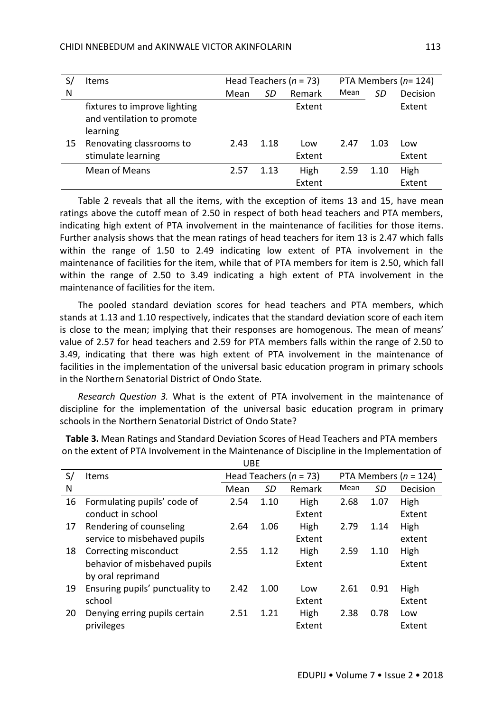|    | <b>Items</b>                                                           |      |      | Head Teachers ( $n = 73$ ) | PTA Members ( $n=124$ ) |      |          |  |
|----|------------------------------------------------------------------------|------|------|----------------------------|-------------------------|------|----------|--|
| N  |                                                                        | Mean | SD   | Remark                     | Mean                    | SD   | Decision |  |
|    | fixtures to improve lighting<br>and ventilation to promote<br>learning |      |      | Extent                     |                         |      | Extent   |  |
| 15 | Renovating classrooms to                                               | 2.43 | 1.18 | Low                        | 2.47                    | 1.03 | Low      |  |
|    | stimulate learning                                                     |      |      | Extent                     |                         |      | Extent   |  |
|    | <b>Mean of Means</b>                                                   | 2.57 | 1.13 | High                       | 2.59                    | 1.10 | High     |  |
|    |                                                                        |      |      | Extent                     |                         |      | Extent   |  |

Table 2 reveals that all the items, with the exception of items 13 and 15, have mean ratings above the cutoff mean of 2.50 in respect of both head teachers and PTA members, indicating high extent of PTA involvement in the maintenance of facilities for those items. Further analysis shows that the mean ratings of head teachers for item 13 is 2.47 which falls within the range of 1.50 to 2.49 indicating low extent of PTA involvement in the maintenance of facilities for the item, while that of PTA members for item is 2.50, which fall within the range of 2.50 to 3.49 indicating a high extent of PTA involvement in the maintenance of facilities for the item.

The pooled standard deviation scores for head teachers and PTA members, which stands at 1.13 and 1.10 respectively, indicates that the standard deviation score of each item is close to the mean; implying that their responses are homogenous. The mean of means' value of 2.57 for head teachers and 2.59 for PTA members falls within the range of 2.50 to 3.49, indicating that there was high extent of PTA involvement in the maintenance of facilities in the implementation of the universal basic education program in primary schools in the Northern Senatorial District of Ondo State.

*Research Question 3.* What is the extent of PTA involvement in the maintenance of discipline for the implementation of the universal basic education program in primary schools in the Northern Senatorial District of Ondo State?

|    |                                 | <b>UBE</b> |      |                            |                           |      |          |  |
|----|---------------------------------|------------|------|----------------------------|---------------------------|------|----------|--|
| S/ | Items                           |            |      | Head Teachers ( $n = 73$ ) | PTA Members ( $n = 124$ ) |      |          |  |
| N  |                                 | Mean       | SD   | Remark                     | Mean                      | SD   | Decision |  |
| 16 | Formulating pupils' code of     | 2.54       | 1.10 | High                       | 2.68                      | 1.07 | High     |  |
|    | conduct in school               |            |      | Extent                     |                           |      | Extent   |  |
| 17 | Rendering of counseling         | 2.64       | 1.06 | High                       | 2.79                      | 1.14 | High     |  |
|    | service to misbehaved pupils    |            |      | Extent                     |                           |      | extent   |  |
| 18 | Correcting misconduct           | 2.55       | 1.12 | High                       | 2.59                      | 1.10 | High     |  |
|    | behavior of misbehaved pupils   |            |      | Extent                     |                           |      | Extent   |  |
|    | by oral reprimand               |            |      |                            |                           |      |          |  |
| 19 | Ensuring pupils' punctuality to | 2.42       | 1.00 | Low                        | 2.61                      | 0.91 | High     |  |
|    | school                          |            |      | Extent                     |                           |      | Extent   |  |
| 20 | Denying erring pupils certain   | 2.51       | 1.21 | High                       | 2.38                      | 0.78 | Low      |  |
|    | privileges                      |            |      | Extent                     |                           |      | Extent   |  |

**Table 3.** Mean Ratings and Standard Deviation Scores of Head Teachers and PTA members on the extent of PTA Involvement in the Maintenance of Discipline in the Implementation of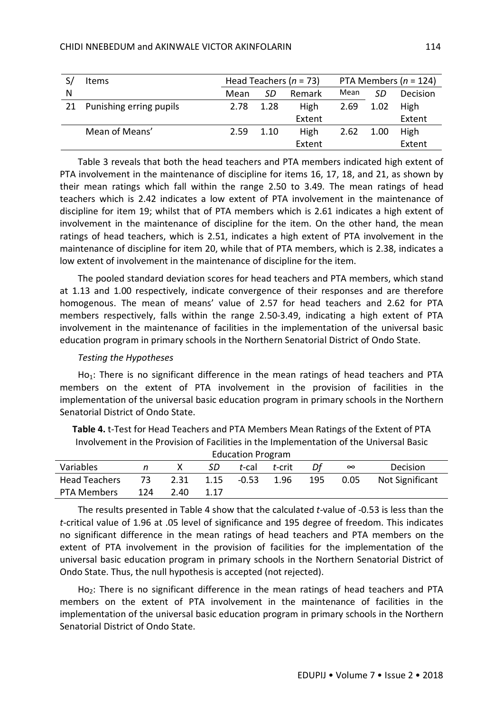|   | Items                      |              |      | Head Teachers ( $n = 73$ ) | PTA Members ( $n = 124$ ) |      |          |  |
|---|----------------------------|--------------|------|----------------------------|---------------------------|------|----------|--|
| N |                            | Mean         | SD   | Remark                     | Mean                      | SD   | Decision |  |
|   | 21 Punishing erring pupils | 2.78<br>1.28 |      | High                       | 2.69                      | 1.02 | High     |  |
|   |                            |              |      | Extent                     |                           |      | Extent   |  |
|   | Mean of Means'             | 2.59         | 1.10 | High                       | 2.62                      | 1.00 | High     |  |
|   |                            |              |      | Extent                     |                           |      | Extent   |  |

Table 3 reveals that both the head teachers and PTA members indicated high extent of PTA involvement in the maintenance of discipline for items 16, 17, 18, and 21, as shown by their mean ratings which fall within the range 2.50 to 3.49. The mean ratings of head teachers which is 2.42 indicates a low extent of PTA involvement in the maintenance of discipline for item 19; whilst that of PTA members which is 2.61 indicates a high extent of involvement in the maintenance of discipline for the item. On the other hand, the mean ratings of head teachers, which is 2.51, indicates a high extent of PTA involvement in the maintenance of discipline for item 20, while that of PTA members, which is 2.38, indicates a low extent of involvement in the maintenance of discipline for the item.

The pooled standard deviation scores for head teachers and PTA members, which stand at 1.13 and 1.00 respectively, indicate convergence of their responses and are therefore homogenous. The mean of means' value of 2.57 for head teachers and 2.62 for PTA members respectively, falls within the range 2.50-3.49, indicating a high extent of PTA involvement in the maintenance of facilities in the implementation of the universal basic education program in primary schools in the Northern Senatorial District of Ondo State.

## *Testing the Hypotheses*

Ho<sub>1</sub>: There is no significant difference in the mean ratings of head teachers and PTA members on the extent of PTA involvement in the provision of facilities in the implementation of the universal basic education program in primary schools in the Northern Senatorial District of Ondo State.

| <u>theoretical in the Frovision of Facilities in the implementation of the Onliversal Dasie</u> |     |      |      |                     |        |     |          |                        |  |  |  |  |
|-------------------------------------------------------------------------------------------------|-----|------|------|---------------------|--------|-----|----------|------------------------|--|--|--|--|
| <b>Education Program</b>                                                                        |     |      |      |                     |        |     |          |                        |  |  |  |  |
| Variables                                                                                       | n   |      | -SD  | t-cal               | t-crit | Df  | $\infty$ | Decision               |  |  |  |  |
| <b>Head Teachers</b>                                                                            |     |      |      | 2.31 1.15 0.53 1.96 |        | 195 | 0.05     | <b>Not Significant</b> |  |  |  |  |
| PTA Members                                                                                     | 124 | 2.40 | 1.17 |                     |        |     |          |                        |  |  |  |  |

**Table 4.** t-Test for Head Teachers and PTA Members Mean Ratings of the Extent of PTA Involvement in the Provision of Facilities in the Implementation of the Universal Basic

The results presented in Table 4 show that the calculated *t*-value of -0.53 is less than the *t*-critical value of 1.96 at .05 level of significance and 195 degree of freedom. This indicates no significant difference in the mean ratings of head teachers and PTA members on the extent of PTA involvement in the provision of facilities for the implementation of the universal basic education program in primary schools in the Northern Senatorial District of Ondo State. Thus, the null hypothesis is accepted (not rejected).

Ho<sub>2</sub>: There is no significant difference in the mean ratings of head teachers and PTA members on the extent of PTA involvement in the maintenance of facilities in the implementation of the universal basic education program in primary schools in the Northern Senatorial District of Ondo State.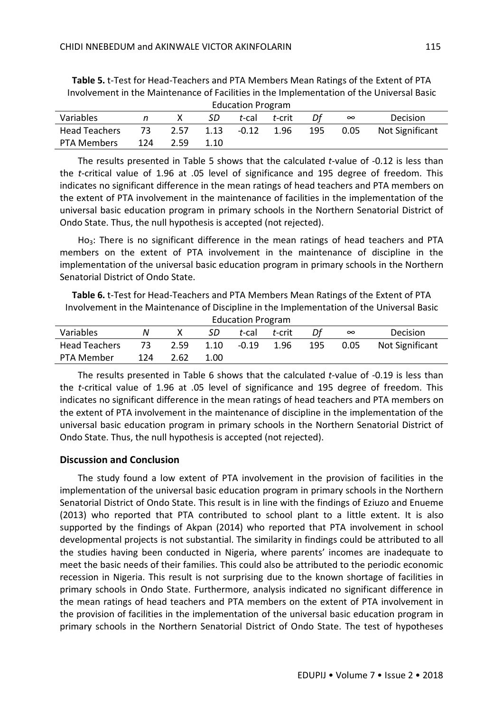| <b>Education Program</b> |     |      |      |         |        |     |          |                 |  |  |  |
|--------------------------|-----|------|------|---------|--------|-----|----------|-----------------|--|--|--|
| Variables                |     |      | SD   | t-cal   | t crit |     | $\infty$ | Decision        |  |  |  |
| <b>Head Teachers</b>     | 73. | 2.57 | 1.13 | $-0.12$ | 1.96   | 195 | 0.05     | Not Significant |  |  |  |
| PTA Members              | 124 | 2.59 | 1.10 |         |        |     |          |                 |  |  |  |

**Table 5.** t-Test for Head-Teachers and PTA Members Mean Ratings of the Extent of PTA Involvement in the Maintenance of Facilities in the Implementation of the Universal Basic

The results presented in Table 5 shows that the calculated *t*-value of -0.12 is less than the *t*-critical value of 1.96 at .05 level of significance and 195 degree of freedom. This indicates no significant difference in the mean ratings of head teachers and PTA members on the extent of PTA involvement in the maintenance of facilities in the implementation of the universal basic education program in primary schools in the Northern Senatorial District of Ondo State. Thus, the null hypothesis is accepted (not rejected).

 $Ho<sub>3</sub>$ : There is no significant difference in the mean ratings of head teachers and PTA members on the extent of PTA involvement in the maintenance of discipline in the implementation of the universal basic education program in primary schools in the Northern Senatorial District of Ondo State.

**Table 6.** t-Test for Head-Teachers and PTA Members Mean Ratings of the Extent of PTA Involvement in the Maintenance of Discipline in the Implementation of the Universal Basic

| <b>Education Program</b> |     |      |      |         |        |     |          |                        |  |  |  |
|--------------------------|-----|------|------|---------|--------|-----|----------|------------------------|--|--|--|
| Variables                |     |      | SD   | t-cal   | t-crit |     | $\infty$ | Decision               |  |  |  |
| <b>Head Teachers</b>     | 73. | 2.59 | 1.10 | $-0.19$ | 1.96   | 195 | 0.05     | <b>Not Significant</b> |  |  |  |
| PTA Member               | 124 | 2.62 | 1.00 |         |        |     |          |                        |  |  |  |

The results presented in Table 6 shows that the calculated *t*-value of -0.19 is less than the *t*-critical value of 1.96 at .05 level of significance and 195 degree of freedom. This indicates no significant difference in the mean ratings of head teachers and PTA members on the extent of PTA involvement in the maintenance of discipline in the implementation of the universal basic education program in primary schools in the Northern Senatorial District of Ondo State. Thus, the null hypothesis is accepted (not rejected).

# **Discussion and Conclusion**

The study found a low extent of PTA involvement in the provision of facilities in the implementation of the universal basic education program in primary schools in the Northern Senatorial District of Ondo State. This result is in line with the findings of Eziuzo and Enueme (2013) who reported that PTA contributed to school plant to a little extent. It is also supported by the findings of Akpan (2014) who reported that PTA involvement in school developmental projects is not substantial. The similarity in findings could be attributed to all the studies having been conducted in Nigeria, where parents' incomes are inadequate to meet the basic needs of their families. This could also be attributed to the periodic economic recession in Nigeria. This result is not surprising due to the known shortage of facilities in primary schools in Ondo State. Furthermore, analysis indicated no significant difference in the mean ratings of head teachers and PTA members on the extent of PTA involvement in the provision of facilities in the implementation of the universal basic education program in primary schools in the Northern Senatorial District of Ondo State. The test of hypotheses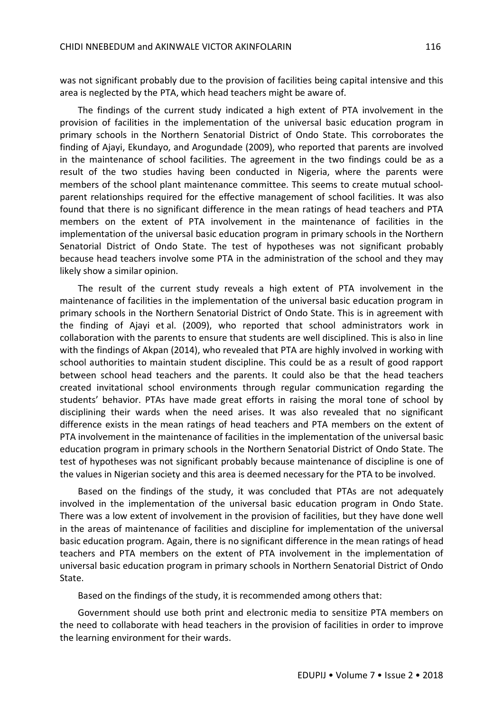was not significant probably due to the provision of facilities being capital intensive and this area is neglected by the PTA, which head teachers might be aware of.

The findings of the current study indicated a high extent of PTA involvement in the provision of facilities in the implementation of the universal basic education program in primary schools in the Northern Senatorial District of Ondo State. This corroborates the finding of Ajayi, Ekundayo, and Arogundade (2009), who reported that parents are involved in the maintenance of school facilities. The agreement in the two findings could be as a result of the two studies having been conducted in Nigeria, where the parents were members of the school plant maintenance committee. This seems to create mutual schoolparent relationships required for the effective management of school facilities. It was also found that there is no significant difference in the mean ratings of head teachers and PTA members on the extent of PTA involvement in the maintenance of facilities in the implementation of the universal basic education program in primary schools in the Northern Senatorial District of Ondo State. The test of hypotheses was not significant probably because head teachers involve some PTA in the administration of the school and they may likely show a similar opinion.

The result of the current study reveals a high extent of PTA involvement in the maintenance of facilities in the implementation of the universal basic education program in primary schools in the Northern Senatorial District of Ondo State. This is in agreement with the finding of Ajayi et al. (2009), who reported that school administrators work in collaboration with the parents to ensure that students are well disciplined. This is also in line with the findings of Akpan (2014), who revealed that PTA are highly involved in working with school authorities to maintain student discipline. This could be as a result of good rapport between school head teachers and the parents. It could also be that the head teachers created invitational school environments through regular communication regarding the students' behavior. PTAs have made great efforts in raising the moral tone of school by disciplining their wards when the need arises. It was also revealed that no significant difference exists in the mean ratings of head teachers and PTA members on the extent of PTA involvement in the maintenance of facilities in the implementation of the universal basic education program in primary schools in the Northern Senatorial District of Ondo State. The test of hypotheses was not significant probably because maintenance of discipline is one of the values in Nigerian society and this area is deemed necessary for the PTA to be involved.

Based on the findings of the study, it was concluded that PTAs are not adequately involved in the implementation of the universal basic education program in Ondo State. There was a low extent of involvement in the provision of facilities, but they have done well in the areas of maintenance of facilities and discipline for implementation of the universal basic education program. Again, there is no significant difference in the mean ratings of head teachers and PTA members on the extent of PTA involvement in the implementation of universal basic education program in primary schools in Northern Senatorial District of Ondo State.

Based on the findings of the study, it is recommended among others that:

Government should use both print and electronic media to sensitize PTA members on the need to collaborate with head teachers in the provision of facilities in order to improve the learning environment for their wards.